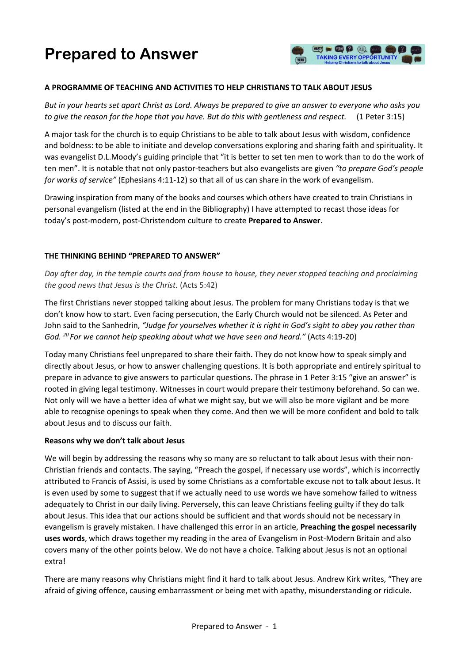# **Prepared to Answer**



#### **A PROGRAMME OF TEACHING AND ACTIVITIES TO HELP CHRISTIANS TO TALK ABOUT JESUS**

*But in your hearts set apart Christ as Lord. Always be prepared to give an answer to everyone who asks you to give the reason for the hope that you have. But do this with gentleness and respect.* (1 Peter 3:15)

A major task for the church is to equip Christians to be able to talk about Jesus with wisdom, confidence and boldness: to be able to initiate and develop conversations exploring and sharing faith and spirituality. It was evangelist D.L.Moody's guiding principle that "it is better to set ten men to work than to do the work of ten men". It is notable that not only pastor-teachers but also evangelists are given *"to prepare God's people for works of service"* (Ephesians 4:11-12) so that all of us can share in the work of evangelism.

Drawing inspiration from many of the books and courses which others have created to train Christians in personal evangelism (listed at the end in the Bibliography) I have attempted to recast those ideas for today's post-modern, post-Christendom culture to create **Prepared to Answer**.

#### **THE THINKING BEHIND "PREPARED TO ANSWER"**

*Day after day, in the temple courts and from house to house, they never stopped teaching and proclaiming the good news that Jesus is the Christ.* (Acts 5:42)

The first Christians never stopped talking about Jesus. The problem for many Christians today is that we don't know how to start. Even facing persecution, the Early Church would not be silenced. As Peter and John said to the Sanhedrin, *"Judge for yourselves whether it is right in God's sight to obey you rather than God. <sup>20</sup>For we cannot help speaking about what we have seen and heard."* (Acts 4:19-20)

Today many Christians feel unprepared to share their faith. They do not know how to speak simply and directly about Jesus, or how to answer challenging questions. It is both appropriate and entirely spiritual to prepare in advance to give answers to particular questions. The phrase in 1 Peter 3:15 "give an answer" is rooted in giving legal testimony. Witnesses in court would prepare their testimony beforehand. So can we. Not only will we have a better idea of what we might say, but we will also be more vigilant and be more able to recognise openings to speak when they come. And then we will be more confident and bold to talk about Jesus and to discuss our faith.

#### **Reasons why we don't talk about Jesus**

We will begin by addressing the reasons why so many are so reluctant to talk about Jesus with their non-Christian friends and contacts. The saying, "Preach the gospel, if necessary use words", which is incorrectly attributed to Francis of Assisi, is used by some Christians as a comfortable excuse not to talk about Jesus. It is even used by some to suggest that if we actually need to use words we have somehow failed to witness adequately to Christ in our daily living. Perversely, this can leave Christians feeling guilty if they do talk about Jesus. This idea that our actions should be sufficient and that words should not be necessary in evangelism is gravely mistaken. I have challenged this error in an article, **Preaching the gospel necessarily uses words**, which draws together my reading in the area of Evangelism in Post-Modern Britain and also covers many of the other points below. We do not have a choice. Talking about Jesus is not an optional extra!

There are many reasons why Christians might find it hard to talk about Jesus. Andrew Kirk writes, "They are afraid of giving offence, causing embarrassment or being met with apathy, misunderstanding or ridicule.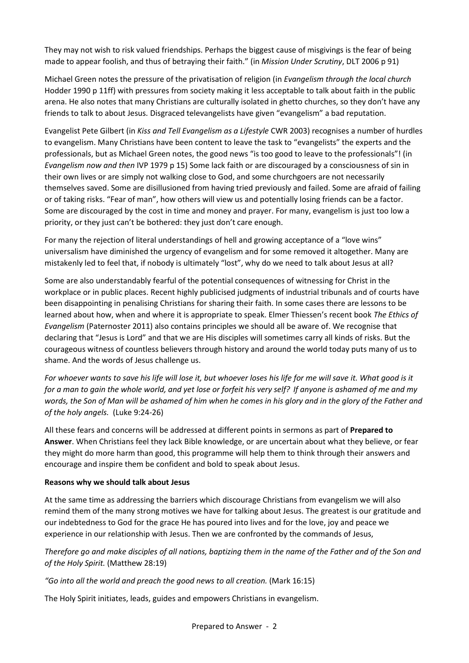They may not wish to risk valued friendships. Perhaps the biggest cause of misgivings is the fear of being made to appear foolish, and thus of betraying their faith." (in *Mission Under Scrutiny*, DLT 2006 p 91)

Michael Green notes the pressure of the privatisation of religion (in *Evangelism through the local church* Hodder 1990 p 11ff) with pressures from society making it less acceptable to talk about faith in the public arena. He also notes that many Christians are culturally isolated in ghetto churches, so they don't have any friends to talk to about Jesus. Disgraced televangelists have given "evangelism" a bad reputation.

Evangelist Pete Gilbert (in *Kiss and Tell Evangelism as a Lifestyle* CWR 2003) recognises a number of hurdles to evangelism. Many Christians have been content to leave the task to "evangelists" the experts and the professionals, but as Michael Green notes, the good news "is too good to leave to the professionals"! (in *Evangelism now and then* IVP 1979 p 15) Some lack faith or are discouraged by a consciousness of sin in their own lives or are simply not walking close to God, and some churchgoers are not necessarily themselves saved. Some are disillusioned from having tried previously and failed. Some are afraid of failing or of taking risks. "Fear of man", how others will view us and potentially losing friends can be a factor. Some are discouraged by the cost in time and money and prayer. For many, evangelism is just too low a priority, or they just can't be bothered: they just don't care enough.

For many the rejection of literal understandings of hell and growing acceptance of a "love wins" universalism have diminished the urgency of evangelism and for some removed it altogether. Many are mistakenly led to feel that, if nobody is ultimately "lost", why do we need to talk about Jesus at all?

Some are also understandably fearful of the potential consequences of witnessing for Christ in the workplace or in public places. Recent highly publicised judgments of industrial tribunals and of courts have been disappointing in penalising Christians for sharing their faith. In some cases there are lessons to be learned about how, when and where it is appropriate to speak. Elmer Thiessen's recent book *The Ethics of Evangelism* (Paternoster 2011) also contains principles we should all be aware of. We recognise that declaring that "Jesus is Lord" and that we are His disciples will sometimes carry all kinds of risks. But the courageous witness of countless believers through history and around the world today puts many of us to shame. And the words of Jesus challenge us.

*For whoever wants to save his life will lose it, but whoever loses his life for me will save it. What good is it for a man to gain the whole world, and yet lose or forfeit his very self? If anyone is ashamed of me and my words, the Son of Man will be ashamed of him when he comes in his glory and in the glory of the Father and of the holy angels.* (Luke 9:24-26)

All these fears and concerns will be addressed at different points in sermons as part of **Prepared to Answer**. When Christians feel they lack Bible knowledge, or are uncertain about what they believe, or fear they might do more harm than good, this programme will help them to think through their answers and encourage and inspire them be confident and bold to speak about Jesus.

## **Reasons why we should talk about Jesus**

At the same time as addressing the barriers which discourage Christians from evangelism we will also remind them of the many strong motives we have for talking about Jesus. The greatest is our gratitude and our indebtedness to God for the grace He has poured into lives and for the love, joy and peace we experience in our relationship with Jesus. Then we are confronted by the commands of Jesus,

*Therefore go and make disciples of all nations, baptizing them in the name of the Father and of the Son and of the Holy Spirit.* (Matthew 28:19)

## *"Go into all the world and preach the good news to all creation.* (Mark 16:15)

The Holy Spirit initiates, leads, guides and empowers Christians in evangelism.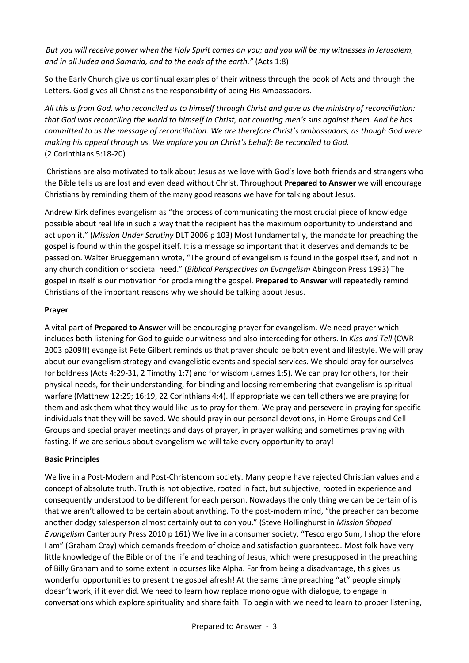*But you will receive power when the Holy Spirit comes on you; and you will be my witnesses in Jerusalem, and in all Judea and Samaria, and to the ends of the earth."* (Acts 1:8)

So the Early Church give us continual examples of their witness through the book of Acts and through the Letters. God gives all Christians the responsibility of being His Ambassadors.

*All this is from God, who reconciled us to himself through Christ and gave us the ministry of reconciliation: that God was reconciling the world to himself in Christ, not counting men's sins against them. And he has committed to us the message of reconciliation. We are therefore Christ's ambassadors, as though God were making his appeal through us. We implore you on Christ's behalf: Be reconciled to God.*  (2 Corinthians 5:18-20)

Christians are also motivated to talk about Jesus as we love with God's love both friends and strangers who the Bible tells us are lost and even dead without Christ. Throughout **Prepared to Answer** we will encourage Christians by reminding them of the many good reasons we have for talking about Jesus.

Andrew Kirk defines evangelism as "the process of communicating the most crucial piece of knowledge possible about real life in such a way that the recipient has the maximum opportunity to understand and act upon it." (*Mission Under Scrutiny* DLT 2006 p 103) Most fundamentally, the mandate for preaching the gospel is found within the gospel itself. It is a message so important that it deserves and demands to be passed on. Walter Brueggemann wrote, "The ground of evangelism is found in the gospel itself, and not in any church condition or societal need." (*Biblical Perspectives on Evangelism* Abingdon Press 1993) The gospel in itself is our motivation for proclaiming the gospel. **Prepared to Answer** will repeatedly remind Christians of the important reasons why we should be talking about Jesus.

## **Prayer**

A vital part of **Prepared to Answer** will be encouraging prayer for evangelism. We need prayer which includes both listening for God to guide our witness and also interceding for others. In *Kiss and Tell* (CWR 2003 p209ff) evangelist Pete Gilbert reminds us that prayer should be both event and lifestyle. We will pray about our evangelism strategy and evangelistic events and special services. We should pray for ourselves for boldness (Acts 4:29-31, 2 Timothy 1:7) and for wisdom (James 1:5). We can pray for others, for their physical needs, for their understanding, for binding and loosing remembering that evangelism is spiritual warfare (Matthew 12:29; 16:19, 22 Corinthians 4:4). If appropriate we can tell others we are praying for them and ask them what they would like us to pray for them. We pray and persevere in praying for specific individuals that they will be saved. We should pray in our personal devotions, in Home Groups and Cell Groups and special prayer meetings and days of prayer, in prayer walking and sometimes praying with fasting. If we are serious about evangelism we will take every opportunity to pray!

## **Basic Principles**

We live in a Post-Modern and Post-Christendom society. Many people have rejected Christian values and a concept of absolute truth. Truth is not objective, rooted in fact, but subjective, rooted in experience and consequently understood to be different for each person. Nowadays the only thing we can be certain of is that we aren't allowed to be certain about anything. To the post-modern mind, "the preacher can become another dodgy salesperson almost certainly out to con you." (Steve Hollinghurst in *Mission Shaped Evangelism* Canterbury Press 2010 p 161) We live in a consumer society, "Tesco ergo Sum, I shop therefore I am" (Graham Cray) which demands freedom of choice and satisfaction guaranteed. Most folk have very little knowledge of the Bible or of the life and teaching of Jesus, which were presupposed in the preaching of Billy Graham and to some extent in courses like Alpha. Far from being a disadvantage, this gives us wonderful opportunities to present the gospel afresh! At the same time preaching "at" people simply doesn't work, if it ever did. We need to learn how replace monologue with dialogue, to engage in conversations which explore spirituality and share faith. To begin with we need to learn to proper listening,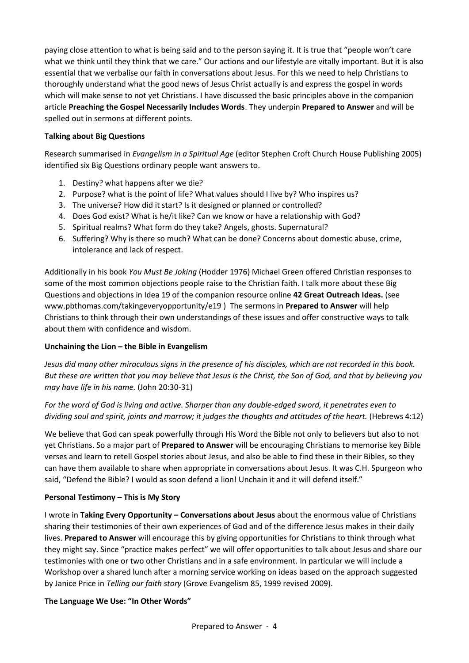paying close attention to what is being said and to the person saying it. It is true that "people won't care what we think until they think that we care." Our actions and our lifestyle are vitally important. But it is also essential that we verbalise our faith in conversations about Jesus. For this we need to help Christians to thoroughly understand what the good news of Jesus Christ actually is and express the gospel in words which will make sense to not yet Christians. I have discussed the basic principles above in the companion article **Preaching the Gospel Necessarily Includes Words**. They underpin **Prepared to Answer** and will be spelled out in sermons at different points.

## **Talking about Big Questions**

Research summarised in *Evangelism in a Spiritual Age* (editor Stephen Croft Church House Publishing 2005) identified six Big Questions ordinary people want answers to.

- 1. Destiny? what happens after we die?
- 2. Purpose? what is the point of life? What values should I live by? Who inspires us?
- 3. The universe? How did it start? Is it designed or planned or controlled?
- 4. Does God exist? What is he/it like? Can we know or have a relationship with God?
- 5. Spiritual realms? What form do they take? Angels, ghosts. Supernatural?
- 6. Suffering? Why is there so much? What can be done? Concerns about domestic abuse, crime, intolerance and lack of respect.

Additionally in his book *You Must Be Joking* (Hodder 1976) Michael Green offered Christian responses to some of the most common objections people raise to the Christian faith. I talk more about these Big Questions and objections in Idea 19 of the companion resource online **42 Great Outreach Ideas.** (see www.pbthomas.com/takingeveryopportunity/e19 ) The sermons in **Prepared to Answer** will help Christians to think through their own understandings of these issues and offer constructive ways to talk about them with confidence and wisdom.

## **Unchaining the Lion – the Bible in Evangelism**

*Jesus did many other miraculous signs in the presence of his disciples, which are not recorded in this book. But these are written that you may believe that Jesus is the Christ, the Son of God, and that by believing you may have life in his name.* (John 20:30-31)

*For the word of God is living and active. Sharper than any double-edged sword, it penetrates even to dividing soul and spirit, joints and marrow; it judges the thoughts and attitudes of the heart.* (Hebrews 4:12)

We believe that God can speak powerfully through His Word the Bible not only to believers but also to not yet Christians. So a major part of **Prepared to Answer** will be encouraging Christians to memorise key Bible verses and learn to retell Gospel stories about Jesus, and also be able to find these in their Bibles, so they can have them available to share when appropriate in conversations about Jesus. It was C.H. Spurgeon who said, "Defend the Bible? I would as soon defend a lion! Unchain it and it will defend itself."

## **Personal Testimony – This is My Story**

I wrote in **Taking Every Opportunity – Conversations about Jesus** about the enormous value of Christians sharing their testimonies of their own experiences of God and of the difference Jesus makes in their daily lives. **Prepared to Answer** will encourage this by giving opportunities for Christians to think through what they might say. Since "practice makes perfect" we will offer opportunities to talk about Jesus and share our testimonies with one or two other Christians and in a safe environment. In particular we will include a Workshop over a shared lunch after a morning service working on ideas based on the approach suggested by Janice Price in *Telling our faith story* (Grove Evangelism 85, 1999 revised 2009).

## **The Language We Use: "In Other Words"**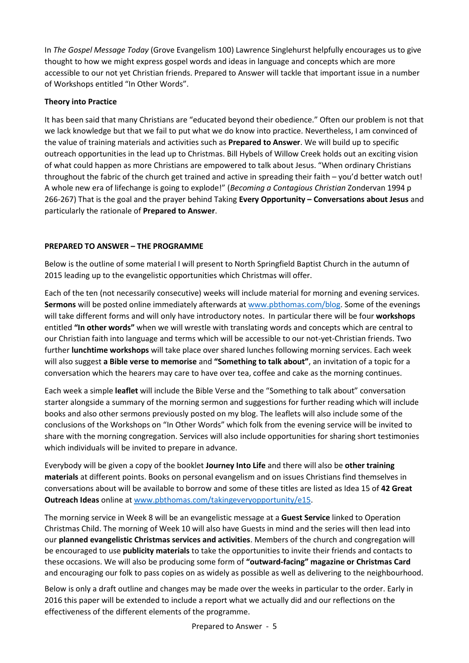In *The Gospel Message Today* (Grove Evangelism 100) Lawrence Singlehurst helpfully encourages us to give thought to how we might express gospel words and ideas in language and concepts which are more accessible to our not yet Christian friends. Prepared to Answer will tackle that important issue in a number of Workshops entitled "In Other Words".

## **Theory into Practice**

It has been said that many Christians are "educated beyond their obedience." Often our problem is not that we lack knowledge but that we fail to put what we do know into practice. Nevertheless, I am convinced of the value of training materials and activities such as **Prepared to Answer**. We will build up to specific outreach opportunities in the lead up to Christmas. Bill Hybels of Willow Creek holds out an exciting vision of what could happen as more Christians are empowered to talk about Jesus. "When ordinary Christians throughout the fabric of the church get trained and active in spreading their faith – you'd better watch out! A whole new era of lifechange is going to explode!" (*Becoming a Contagious Christian* Zondervan 1994 p 266-267) That is the goal and the prayer behind Taking **Every Opportunity – Conversations about Jesus** and particularly the rationale of **Prepared to Answer**.

## **PREPARED TO ANSWER – THE PROGRAMME**

Below is the outline of some material I will present to North Springfield Baptist Church in the autumn of 2015 leading up to the evangelistic opportunities which Christmas will offer.

Each of the ten (not necessarily consecutive) weeks will include material for morning and evening services. **Sermons** will be posted online immediately afterwards at [www.pbthomas.com/blog.](http://www.pbthomas.com/blog) Some of the evenings will take different forms and will only have introductory notes. In particular there will be four **workshops** entitled **"In other words"** when we will wrestle with translating words and concepts which are central to our Christian faith into language and terms which will be accessible to our not-yet-Christian friends. Two further **lunchtime workshops** will take place over shared lunches following morning services. Each week will also suggest **a Bible verse to memorise** and **"Something to talk about"**, an invitation of a topic for a conversation which the hearers may care to have over tea, coffee and cake as the morning continues.

Each week a simple **leaflet** will include the Bible Verse and the "Something to talk about" conversation starter alongside a summary of the morning sermon and suggestions for further reading which will include books and also other sermons previously posted on my blog. The leaflets will also include some of the conclusions of the Workshops on "In Other Words" which folk from the evening service will be invited to share with the morning congregation. Services will also include opportunities for sharing short testimonies which individuals will be invited to prepare in advance.

Everybody will be given a copy of the booklet **Journey Into Life** and there will also be **other training materials** at different points. Books on personal evangelism and on issues Christians find themselves in conversations about will be available to borrow and some of these titles are listed as Idea 15 of **42 Great Outreach Ideas** online at [www.pbthomas.com/takingeveryopportunity/e15.](http://www.pbthomas.com/takingeveryopportunity/e15)

The morning service in Week 8 will be an evangelistic message at a **Guest Service** linked to Operation Christmas Child. The morning of Week 10 will also have Guests in mind and the series will then lead into our **planned evangelistic Christmas services and activities**. Members of the church and congregation will be encouraged to use **publicity materials** to take the opportunities to invite their friends and contacts to these occasions. We will also be producing some form of **"outward-facing" magazine or Christmas Card**  and encouraging our folk to pass copies on as widely as possible as well as delivering to the neighbourhood.

Below is only a draft outline and changes may be made over the weeks in particular to the order. Early in 2016 this paper will be extended to include a report what we actually did and our reflections on the effectiveness of the different elements of the programme.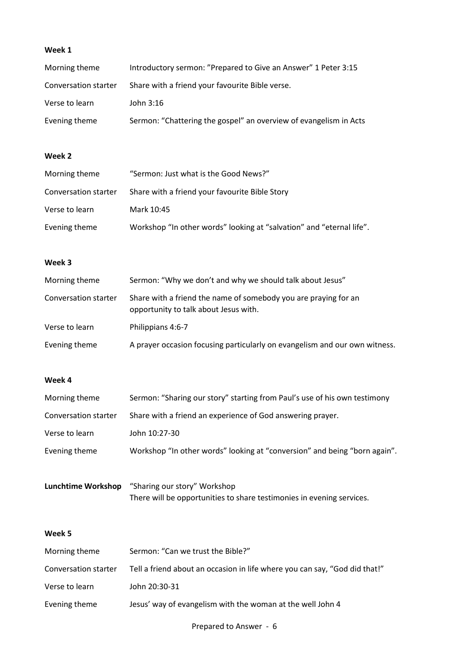# **Week 1**

| Morning theme        | Introductory sermon: "Prepared to Give an Answer" 1 Peter 3:15    |
|----------------------|-------------------------------------------------------------------|
| Conversation starter | Share with a friend your favourite Bible verse.                   |
| Verse to learn       | John 3:16                                                         |
| Evening theme        | Sermon: "Chattering the gospel" an overview of evangelism in Acts |

#### **Week 2**

| Morning theme        | "Sermon: Just what is the Good News?"                                |
|----------------------|----------------------------------------------------------------------|
| Conversation starter | Share with a friend your favourite Bible Story                       |
| Verse to learn       | Mark 10:45                                                           |
| Evening theme        | Workshop "In other words" looking at "salvation" and "eternal life". |

#### **Week 3**

| Morning theme        | Sermon: "Why we don't and why we should talk about Jesus"                                                |
|----------------------|----------------------------------------------------------------------------------------------------------|
| Conversation starter | Share with a friend the name of somebody you are praying for an<br>opportunity to talk about Jesus with. |
| Verse to learn       | Philippians 4:6-7                                                                                        |
| Evening theme        | A prayer occasion focusing particularly on evangelism and our own witness.                               |

#### **Week 4**

| Morning theme        | Sermon: "Sharing our story" starting from Paul's use of his own testimony |
|----------------------|---------------------------------------------------------------------------|
| Conversation starter | Share with a friend an experience of God answering prayer.                |
| Verse to learn       | John 10:27-30                                                             |
| Evening theme        | Workshop "In other words" looking at "conversion" and being "born again". |
|                      |                                                                           |

**Lunchtime Workshop** "Sharing our story" Workshop There will be opportunities to share testimonies in evening services.

## **Week 5**

| Morning theme        | Sermon: "Can we trust the Bible?"                                          |
|----------------------|----------------------------------------------------------------------------|
| Conversation starter | Tell a friend about an occasion in life where you can say, "God did that!" |
| Verse to learn       | John 20:30-31                                                              |
| Evening theme        | Jesus' way of evangelism with the woman at the well John 4                 |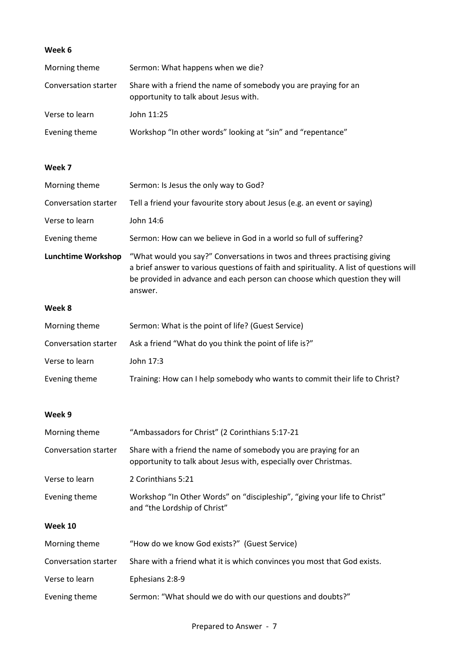# **Week 6**

| Morning theme               | Sermon: What happens when we die?                                                                                                                                                                                                                            |
|-----------------------------|--------------------------------------------------------------------------------------------------------------------------------------------------------------------------------------------------------------------------------------------------------------|
| <b>Conversation starter</b> | Share with a friend the name of somebody you are praying for an<br>opportunity to talk about Jesus with.                                                                                                                                                     |
| Verse to learn              | John 11:25                                                                                                                                                                                                                                                   |
| Evening theme               | Workshop "In other words" looking at "sin" and "repentance"                                                                                                                                                                                                  |
| Week 7                      |                                                                                                                                                                                                                                                              |
| Morning theme               | Sermon: Is Jesus the only way to God?                                                                                                                                                                                                                        |
| Conversation starter        | Tell a friend your favourite story about Jesus (e.g. an event or saying)                                                                                                                                                                                     |
| Verse to learn              | John 14:6                                                                                                                                                                                                                                                    |
| Evening theme               | Sermon: How can we believe in God in a world so full of suffering?                                                                                                                                                                                           |
| <b>Lunchtime Workshop</b>   | "What would you say?" Conversations in twos and threes practising giving<br>a brief answer to various questions of faith and spirituality. A list of questions will<br>be provided in advance and each person can choose which question they will<br>answer. |
| Week 8                      |                                                                                                                                                                                                                                                              |
| Morning theme               | Sermon: What is the point of life? (Guest Service)                                                                                                                                                                                                           |
| Conversation starter        | Ask a friend "What do you think the point of life is?"                                                                                                                                                                                                       |
| Verse to learn              | John 17:3                                                                                                                                                                                                                                                    |
| Evening theme               | Training: How can I help somebody who wants to commit their life to Christ?                                                                                                                                                                                  |
| Week 9                      |                                                                                                                                                                                                                                                              |
| Morning theme               | "Ambassadors for Christ" (2 Corinthians 5:17-21                                                                                                                                                                                                              |
| <b>Conversation starter</b> | Share with a friend the name of somebody you are praying for an<br>opportunity to talk about Jesus with, especially over Christmas.                                                                                                                          |
| Verse to learn              | 2 Corinthians 5:21                                                                                                                                                                                                                                           |
| Evening theme               | Workshop "In Other Words" on "discipleship", "giving your life to Christ"<br>and "the Lordship of Christ"                                                                                                                                                    |
| Week 10                     |                                                                                                                                                                                                                                                              |
| Morning theme               | "How do we know God exists?" (Guest Service)                                                                                                                                                                                                                 |
| Conversation starter        | Share with a friend what it is which convinces you most that God exists.                                                                                                                                                                                     |
| Verse to learn              | Ephesians 2:8-9                                                                                                                                                                                                                                              |
| Evening theme               | Sermon: "What should we do with our questions and doubts?"                                                                                                                                                                                                   |